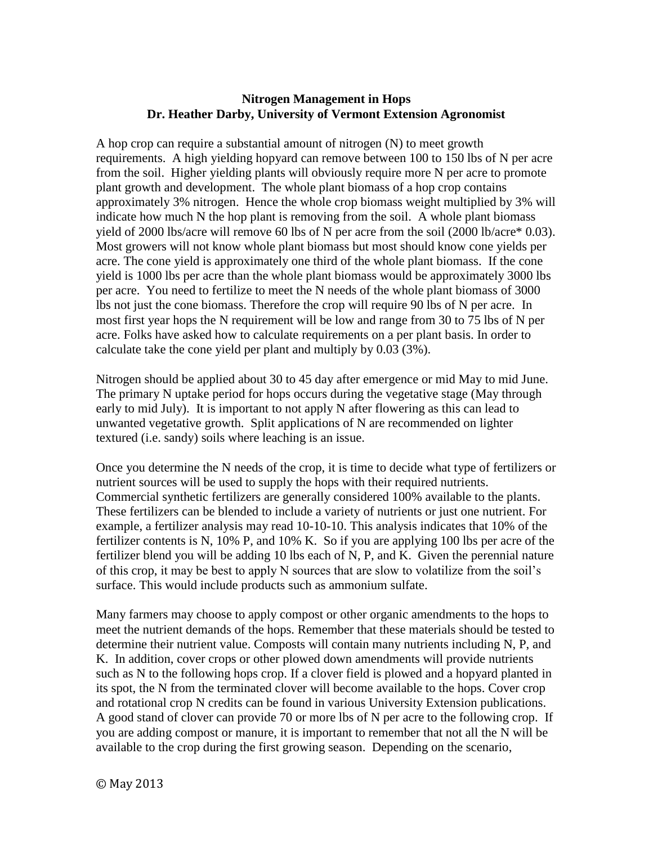## **Nitrogen Management in Hops Dr. Heather Darby, University of Vermont Extension Agronomist**

A hop crop can require a substantial amount of nitrogen (N) to meet growth requirements. A high yielding hopyard can remove between 100 to 150 lbs of N per acre from the soil. Higher yielding plants will obviously require more N per acre to promote plant growth and development. The whole plant biomass of a hop crop contains approximately 3% nitrogen. Hence the whole crop biomass weight multiplied by 3% will indicate how much N the hop plant is removing from the soil. A whole plant biomass yield of 2000 lbs/acre will remove 60 lbs of N per acre from the soil (2000 lb/acre\* 0.03). Most growers will not know whole plant biomass but most should know cone yields per acre. The cone yield is approximately one third of the whole plant biomass. If the cone yield is 1000 lbs per acre than the whole plant biomass would be approximately 3000 lbs per acre. You need to fertilize to meet the N needs of the whole plant biomass of 3000 lbs not just the cone biomass. Therefore the crop will require 90 lbs of N per acre. In most first year hops the N requirement will be low and range from 30 to 75 lbs of N per acre. Folks have asked how to calculate requirements on a per plant basis. In order to calculate take the cone yield per plant and multiply by 0.03 (3%).

Nitrogen should be applied about 30 to 45 day after emergence or mid May to mid June. The primary N uptake period for hops occurs during the vegetative stage (May through early to mid July). It is important to not apply N after flowering as this can lead to unwanted vegetative growth. Split applications of N are recommended on lighter textured (i.e. sandy) soils where leaching is an issue.

Once you determine the N needs of the crop, it is time to decide what type of fertilizers or nutrient sources will be used to supply the hops with their required nutrients. Commercial synthetic fertilizers are generally considered 100% available to the plants. These fertilizers can be blended to include a variety of nutrients or just one nutrient. For example, a fertilizer analysis may read 10-10-10. This analysis indicates that 10% of the fertilizer contents is N, 10% P, and 10% K. So if you are applying 100 lbs per acre of the fertilizer blend you will be adding 10 lbs each of N, P, and K. Given the perennial nature of this crop, it may be best to apply N sources that are slow to volatilize from the soil's surface. This would include products such as ammonium sulfate.

Many farmers may choose to apply compost or other organic amendments to the hops to meet the nutrient demands of the hops. Remember that these materials should be tested to determine their nutrient value. Composts will contain many nutrients including N, P, and K. In addition, cover crops or other plowed down amendments will provide nutrients such as N to the following hops crop. If a clover field is plowed and a hopyard planted in its spot, the N from the terminated clover will become available to the hops. Cover crop and rotational crop N credits can be found in various University Extension publications. A good stand of clover can provide 70 or more lbs of N per acre to the following crop. If you are adding compost or manure, it is important to remember that not all the N will be available to the crop during the first growing season. Depending on the scenario,